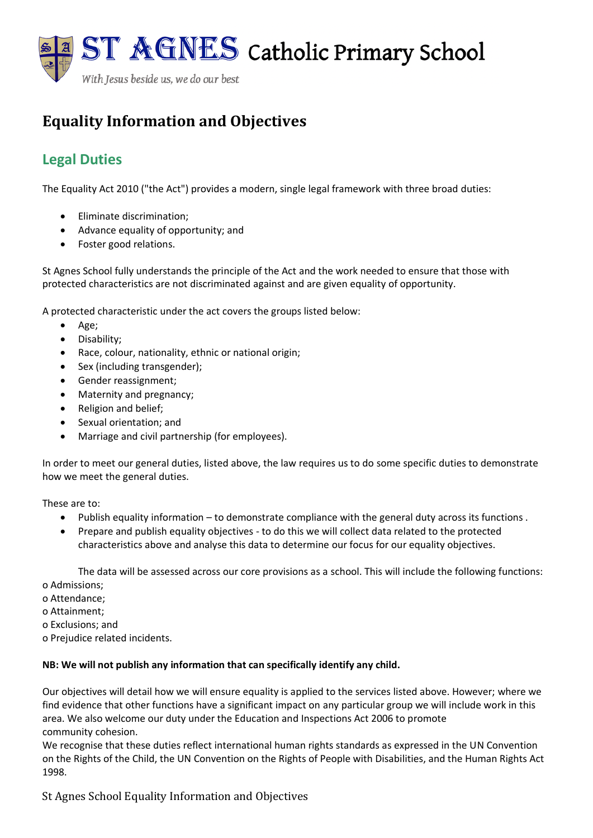

# **Equality Information and Objectives**

# **Legal Duties**

The Equality Act 2010 ("the Act") provides a modern, single legal framework with three broad duties:

- Eliminate discrimination;
- Advance equality of opportunity; and
- Foster good relations.

St Agnes School fully understands the principle of the Act and the work needed to ensure that those with protected characteristics are not discriminated against and are given equality of opportunity.

A protected characteristic under the act covers the groups listed below:

- Age;
- Disability;
- Race, colour, nationality, ethnic or national origin;
- Sex (including transgender);
- Gender reassignment;
- Maternity and pregnancy;
- Religion and belief;
- Sexual orientation; and
- Marriage and civil partnership (for employees).

In order to meet our general duties, listed above, the law requires us to do some specific duties to demonstrate how we meet the general duties.

These are to:

- Publish equality information to demonstrate compliance with the general duty across its functions .
- Prepare and publish equality objectives to do this we will collect data related to the protected characteristics above and analyse this data to determine our focus for our equality objectives.

The data will be assessed across our core provisions as a school. This will include the following functions: o Admissions;

- o Attendance;
- o Attainment;
- o Exclusions; and
- o Prejudice related incidents.

#### **NB: We will not publish any information that can specifically identify any child.**

Our objectives will detail how we will ensure equality is applied to the services listed above. However; where we find evidence that other functions have a significant impact on any particular group we will include work in this area. We also welcome our duty under the Education and Inspections Act 2006 to promote community cohesion.

We recognise that these duties reflect international human rights standards as expressed in the UN Convention on the Rights of the Child, the UN Convention on the Rights of People with Disabilities, and the Human Rights Act 1998.

St Agnes School Equality Information and Objectives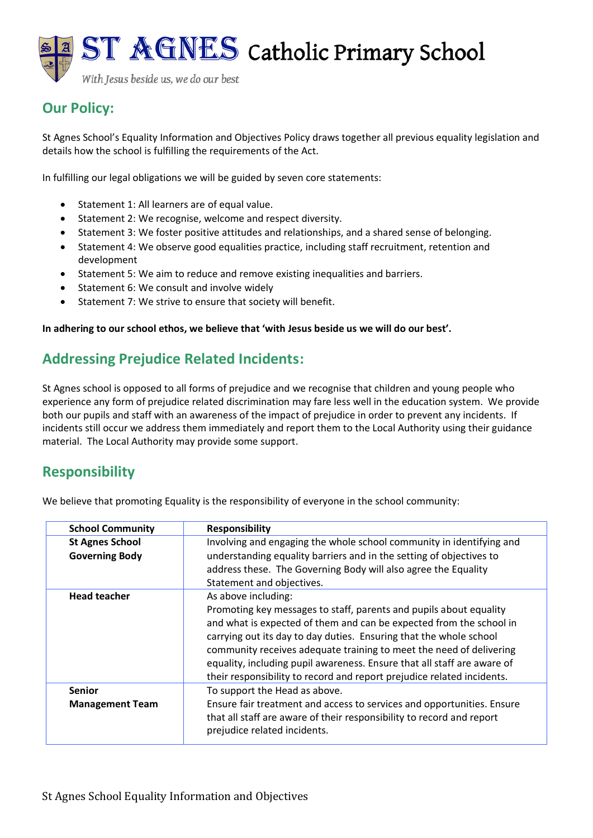With Jesus beside us, we do our best

# **Our Policy:**

St Agnes School's Equality Information and Objectives Policy draws together all previous equality legislation and details how the school is fulfilling the requirements of the Act.

In fulfilling our legal obligations we will be guided by seven core statements:

- Statement 1: All learners are of equal value.
- Statement 2: We recognise, welcome and respect diversity.
- Statement 3: We foster positive attitudes and relationships, and a shared sense of belonging.
- Statement 4: We observe good equalities practice, including staff recruitment, retention and development
- Statement 5: We aim to reduce and remove existing inequalities and barriers.
- Statement 6: We consult and involve widely
- Statement 7: We strive to ensure that society will benefit.

**In adhering to our school ethos, we believe that 'with Jesus beside us we will do our best'.**

# **Addressing Prejudice Related Incidents:**

St Agnes school is opposed to all forms of prejudice and we recognise that children and young people who experience any form of prejudice related discrimination may fare less well in the education system. We provide both our pupils and staff with an awareness of the impact of prejudice in order to prevent any incidents. If incidents still occur we address them immediately and report them to the Local Authority using their guidance material. The Local Authority may provide some support.

## **Responsibility**

We believe that promoting Equality is the responsibility of everyone in the school community:

| <b>School Community</b> | <b>Responsibility</b>                                                                                                                                                                                                                                                                                                                                                                                                                       |
|-------------------------|---------------------------------------------------------------------------------------------------------------------------------------------------------------------------------------------------------------------------------------------------------------------------------------------------------------------------------------------------------------------------------------------------------------------------------------------|
| <b>St Agnes School</b>  | Involving and engaging the whole school community in identifying and                                                                                                                                                                                                                                                                                                                                                                        |
| <b>Governing Body</b>   | understanding equality barriers and in the setting of objectives to                                                                                                                                                                                                                                                                                                                                                                         |
|                         | address these. The Governing Body will also agree the Equality                                                                                                                                                                                                                                                                                                                                                                              |
|                         | Statement and objectives.                                                                                                                                                                                                                                                                                                                                                                                                                   |
| <b>Head teacher</b>     | As above including:                                                                                                                                                                                                                                                                                                                                                                                                                         |
|                         | Promoting key messages to staff, parents and pupils about equality<br>and what is expected of them and can be expected from the school in<br>carrying out its day to day duties. Ensuring that the whole school<br>community receives adequate training to meet the need of delivering<br>equality, including pupil awareness. Ensure that all staff are aware of<br>their responsibility to record and report prejudice related incidents. |
| <b>Senior</b>           | To support the Head as above.                                                                                                                                                                                                                                                                                                                                                                                                               |
| <b>Management Team</b>  | Ensure fair treatment and access to services and opportunities. Ensure<br>that all staff are aware of their responsibility to record and report<br>prejudice related incidents.                                                                                                                                                                                                                                                             |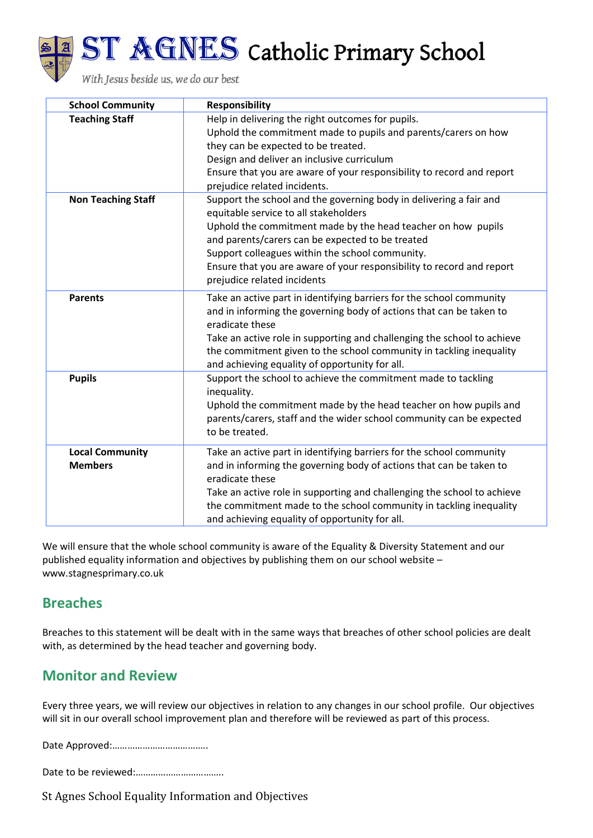



| <b>School Community</b>                  | <b>Responsibility</b>                                                                                                                                                                                                                                                                                                                                                                      |
|------------------------------------------|--------------------------------------------------------------------------------------------------------------------------------------------------------------------------------------------------------------------------------------------------------------------------------------------------------------------------------------------------------------------------------------------|
| <b>Teaching Staff</b>                    | Help in delivering the right outcomes for pupils.<br>Uphold the commitment made to pupils and parents/carers on how<br>they can be expected to be treated.<br>Design and deliver an inclusive curriculum<br>Ensure that you are aware of your responsibility to record and report<br>prejudice related incidents.                                                                          |
| <b>Non Teaching Staff</b>                | Support the school and the governing body in delivering a fair and<br>equitable service to all stakeholders<br>Uphold the commitment made by the head teacher on how pupils<br>and parents/carers can be expected to be treated<br>Support colleagues within the school community.<br>Ensure that you are aware of your responsibility to record and report<br>prejudice related incidents |
| <b>Parents</b>                           | Take an active part in identifying barriers for the school community<br>and in informing the governing body of actions that can be taken to<br>eradicate these<br>Take an active role in supporting and challenging the school to achieve<br>the commitment given to the school community in tackling inequality<br>and achieving equality of opportunity for all.                         |
| <b>Pupils</b>                            | Support the school to achieve the commitment made to tackling<br>inequality.<br>Uphold the commitment made by the head teacher on how pupils and<br>parents/carers, staff and the wider school community can be expected<br>to be treated.                                                                                                                                                 |
| <b>Local Community</b><br><b>Members</b> | Take an active part in identifying barriers for the school community<br>and in informing the governing body of actions that can be taken to<br>eradicate these<br>Take an active role in supporting and challenging the school to achieve<br>the commitment made to the school community in tackling inequality<br>and achieving equality of opportunity for all.                          |

We will ensure that the whole school community is aware of the Equality & Diversity Statement and our published equality information and objectives by publishing them on our school website – www.stagnesprimary.co.uk

### **Breaches**

Breaches to this statement will be dealt with in the same ways that breaches of other school policies are dealt with, as determined by the head teacher and governing body.

# **Monitor and Review**

Every three years, we will review our objectives in relation to any changes in our school profile. Our objectives will sit in our overall school improvement plan and therefore will be reviewed as part of this process.

Date Approved:………………………………..

Date to be reviewed:……………………………..

St Agnes School Equality Information and Objectives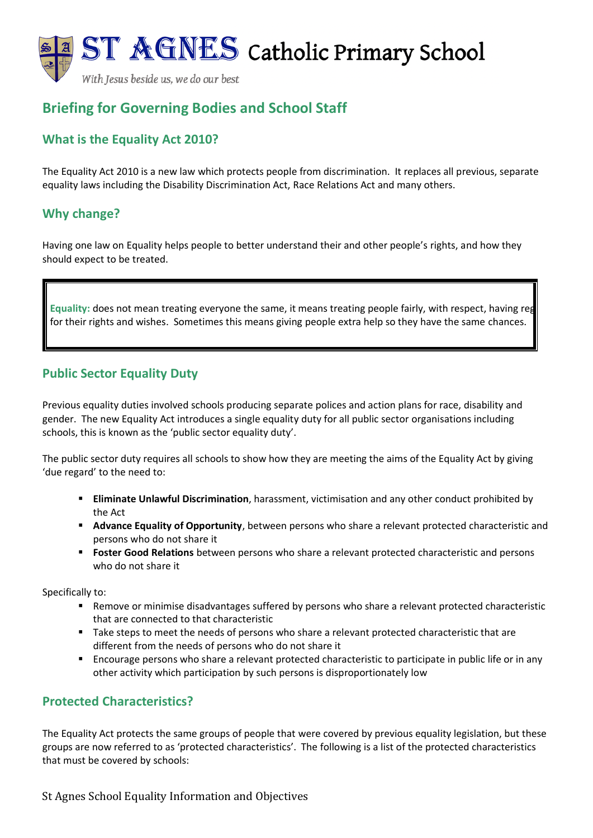With Jesus beside us, we do our best

# **Briefing for Governing Bodies and School Staff**

### **What is the Equality Act 2010?**

The Equality Act 2010 is a new law which protects people from discrimination. It replaces all previous, separate equality laws including the Disability Discrimination Act, Race Relations Act and many others.

### **Why change?**

Having one law on Equality helps people to better understand their and other people's rights, and how they should expect to be treated.

Equality: does not mean treating everyone the same, it means treating people fairly, with respect, having reg for their rights and wishes. Sometimes this means giving people extra help so they have the same chances.

### **Public Sector Equality Duty**

Previous equality duties involved schools producing separate polices and action plans for race, disability and gender. The new Equality Act introduces a single equality duty for all public sector organisations including schools, this is known as the 'public sector equality duty'.

The public sector duty requires all schools to show how they are meeting the aims of the Equality Act by giving 'due regard' to the need to:

- **Eliminate Unlawful Discrimination**, harassment, victimisation and any other conduct prohibited by the Act
- **EXTED Advance Equality of Opportunity**, between persons who share a relevant protected characteristic and persons who do not share it
- **E** Foster Good Relations between persons who share a relevant protected characteristic and persons who do not share it

Specifically to:

- Remove or minimise disadvantages suffered by persons who share a relevant protected characteristic that are connected to that characteristic
- Take steps to meet the needs of persons who share a relevant protected characteristic that are different from the needs of persons who do not share it
- Encourage persons who share a relevant protected characteristic to participate in public life or in any other activity which participation by such persons is disproportionately low

### **Protected Characteristics?**

The Equality Act protects the same groups of people that were covered by previous equality legislation, but these groups are now referred to as 'protected characteristics'. The following is a list of the protected characteristics that must be covered by schools:

St Agnes School Equality Information and Objectives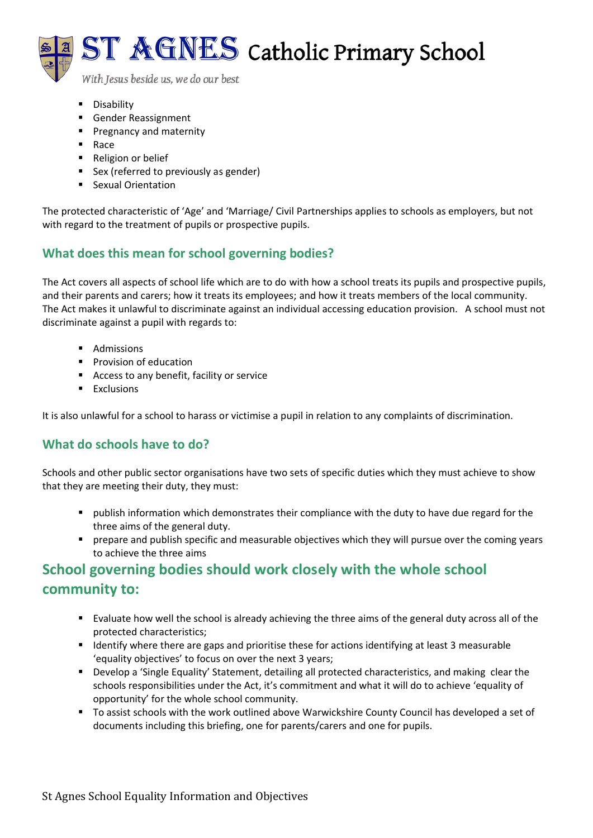

With Jesus beside us, we do our best

- Disability
- Gender Reassignment
- Pregnancy and maternity
- Race
- Religion or belief
- Sex (referred to previously as gender)
- Sexual Orientation

The protected characteristic of 'Age' and 'Marriage/ Civil Partnerships applies to schools as employers, but not with regard to the treatment of pupils or prospective pupils.

### **What does this mean for school governing bodies?**

The Act covers all aspects of school life which are to do with how a school treats its pupils and prospective pupils, and their parents and carers; how it treats its employees; and how it treats members of the local community. The Act makes it unlawful to discriminate against an individual accessing education provision. A school must not discriminate against a pupil with regards to:

- Admissions
- Provision of education
- Access to any benefit, facility or service
- Exclusions

It is also unlawful for a school to harass or victimise a pupil in relation to any complaints of discrimination.

### **What do schools have to do?**

Schools and other public sector organisations have two sets of specific duties which they must achieve to show that they are meeting their duty, they must:

- publish information which demonstrates their compliance with the duty to have due regard for the three aims of the general duty.
- **•** prepare and publish specific and measurable objectives which they will pursue over the coming years to achieve the three aims

# **School governing bodies should work closely with the whole school community to:**

- Evaluate how well the school is already achieving the three aims of the general duty across all of the protected characteristics;
- Identify where there are gaps and prioritise these for actions identifying at least 3 measurable 'equality objectives' to focus on over the next 3 years;
- Develop a 'Single Equality' Statement, detailing all protected characteristics, and making clear the schools responsibilities under the Act, it's commitment and what it will do to achieve 'equality of opportunity' for the whole school community.
- To assist schools with the work outlined above Warwickshire County Council has developed a set of documents including this briefing, one for parents/carers and one for pupils.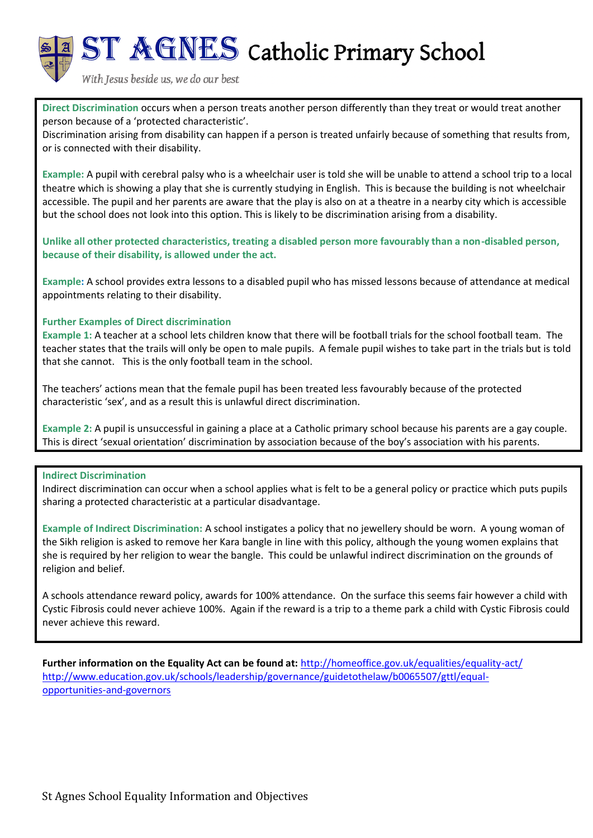

With Jesus beside us, we do our best

**Direct Discrimination** occurs when a person treats another person differently than they treat or would treat another person because of a 'protected characteristic'.

Discrimination arising from disability can happen if a person is treated unfairly because of something that results from, or is connected with their disability.

**Example:** A pupil with cerebral palsy who is a wheelchair user is told she will be unable to attend a school trip to a local theatre which is showing a play that she is currently studying in English. This is because the building is not wheelchair accessible. The pupil and her parents are aware that the play is also on at a theatre in a nearby city which is accessible but the school does not look into this option. This is likely to be discrimination arising from a disability.

**Unlike all other protected characteristics, treating a disabled person more favourably than a non-disabled person, because of their disability, is allowed under the act.** 

**Example:** A school provides extra lessons to a disabled pupil who has missed lessons because of attendance at medical appointments relating to their disability.

#### **Further Examples of Direct discrimination**

**Example 1:** A teacher at a school lets children know that there will be football trials for the school football team. The teacher states that the trails will only be open to male pupils. A female pupil wishes to take part in the trials but is told that she cannot. This is the only football team in the school.

The teachers' actions mean that the female pupil has been treated less favourably because of the protected characteristic 'sex', and as a result this is unlawful direct discrimination.

**Example 2:** A pupil is unsuccessful in gaining a place at a Catholic primary school because his parents are a gay couple. This is direct 'sexual orientation' discrimination by association because of the boy's association with his parents.

#### **Indirect Discrimination**

Indirect discrimination can occur when a school applies what is felt to be a general policy or practice which puts pupils sharing a protected characteristic at a particular disadvantage.

**Example of Indirect Discrimination:** A school instigates a policy that no jewellery should be worn. A young woman of the Sikh religion is asked to remove her Kara bangle in line with this policy, although the young women explains that she is required by her religion to wear the bangle. This could be unlawful indirect discrimination on the grounds of religion and belief.

A schools attendance reward policy, awards for 100% attendance. On the surface this seems fair however a child with Cystic Fibrosis could never achieve 100%. Again if the reward is a trip to a theme park a child with Cystic Fibrosis could never achieve this reward.

**Further information on the Equality Act can be found at:** <http://homeoffice.gov.uk/equalities/equality-act/> [http://www.education.gov.uk/schools/leadership/governance/guidetothelaw/b0065507/gttl/equal](http://www.education.gov.uk/schools/leadership/governance/guidetothelaw/b0065507/gttl/equal-opportunities-and-governors)[opportunities-and-governors](http://www.education.gov.uk/schools/leadership/governance/guidetothelaw/b0065507/gttl/equal-opportunities-and-governors)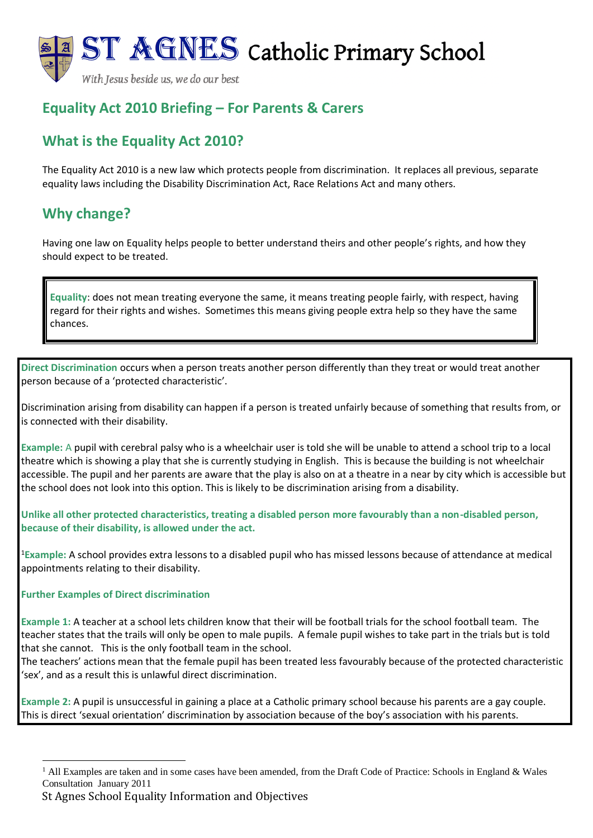With Jesus beside us, we do our best

# **Equality Act 2010 Briefing – For Parents & Carers**

# **What is the Equality Act 2010?**

The Equality Act 2010 is a new law which protects people from discrimination. It replaces all previous, separate equality laws including the Disability Discrimination Act, Race Relations Act and many others.

# **Why change?**

Having one law on Equality helps people to better understand theirs and other people's rights, and how they should expect to be treated.

**Equality**: does not mean treating everyone the same, it means treating people fairly, with respect, having regard for their rights and wishes. Sometimes this means giving people extra help so they have the same chances.

**Direct Discrimination** occurs when a person treats another person differently than they treat or would treat another person because of a 'protected characteristic'.

Discrimination arising from disability can happen if a person is treated unfairly because of something that results from, or is connected with their disability.

**Example:** A pupil with cerebral palsy who is a wheelchair user is told she will be unable to attend a school trip to a local theatre which is showing a play that she is currently studying in English. This is because the building is not wheelchair accessible. The pupil and her parents are aware that the play is also on at a theatre in a near by city which is accessible but the school does not look into this option. This is likely to be discrimination arising from a disability.

**Unlike all other protected characteristics, treating a disabled person more favourably than a non-disabled person, because of their disability, is allowed under the act.** 

<sup>1</sup>**Example:** A school provides extra lessons to a disabled pupil who has missed lessons because of attendance at medical appointments relating to their disability.

#### **Further Examples of Direct discrimination**

**Example 1:** A teacher at a school lets children know that their will be football trials for the school football team. The teacher states that the trails will only be open to male pupils. A female pupil wishes to take part in the trials but is told that she cannot. This is the only football team in the school.

The teachers' actions mean that the female pupil has been treated less favourably because of the protected characteristic 'sex', and as a result this is unlawful direct discrimination.

**Example 2:** A pupil is unsuccessful in gaining a place at a Catholic primary school because his parents are a gay couple. This is direct 'sexual orientation' discrimination by association because of the boy's association with his parents.

<sup>&</sup>lt;sup>1</sup> All Examples are taken and in some cases have been amended, from the Draft Code of Practice: Schools in England & Wales Consultation January 2011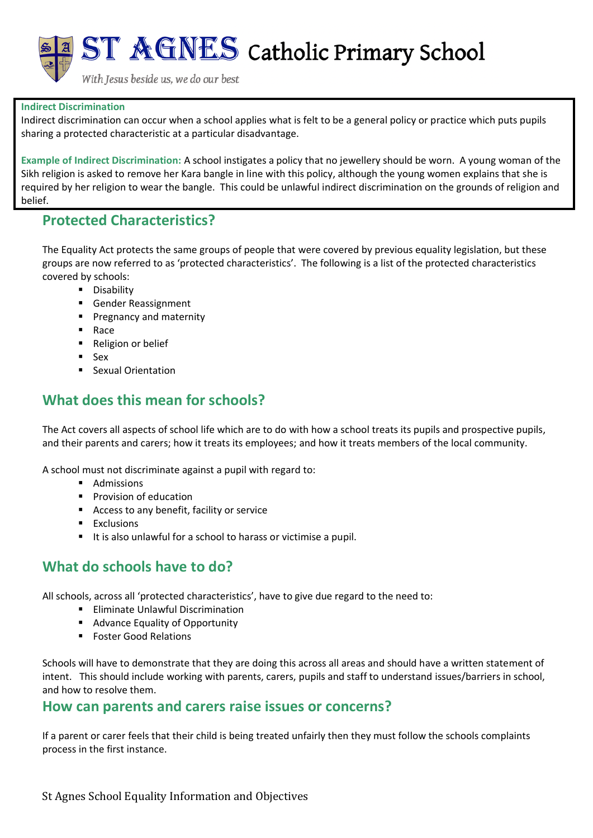

With Jesus beside us, we do our best

#### **Indirect Discrimination**

Indirect discrimination can occur when a school applies what is felt to be a general policy or practice which puts pupils sharing a protected characteristic at a particular disadvantage.

**Example of Indirect Discrimination:** A school instigates a policy that no jewellery should be worn. A young woman of the Sikh religion is asked to remove her Kara bangle in line with this policy, although the young women explains that she is required by her religion to wear the bangle. This could be unlawful indirect discrimination on the grounds of religion and belief.

### **Protected Characteristics?**

The Equality Act protects the same groups of people that were covered by previous equality legislation, but these groups are now referred to as 'protected characteristics'. The following is a list of the protected characteristics covered by schools:

- Disability
- Gender Reassignment
- Pregnancy and maternity
- **Race**
- Religion or belief
- Sex
- Sexual Orientation

# **What does this mean for schools?**

The Act covers all aspects of school life which are to do with how a school treats its pupils and prospective pupils, and their parents and carers; how it treats its employees; and how it treats members of the local community.

A school must not discriminate against a pupil with regard to:

- Admissions
- Provision of education
- Access to any benefit, facility or service
- **Exclusions**
- It is also unlawful for a school to harass or victimise a pupil.

## **What do schools have to do?**

All schools, across all 'protected characteristics', have to give due regard to the need to:

- Eliminate Unlawful Discrimination
- Advance Equality of Opportunity
- Foster Good Relations

Schools will have to demonstrate that they are doing this across all areas and should have a written statement of intent. This should include working with parents, carers, pupils and staff to understand issues/barriers in school, and how to resolve them.

### **How can parents and carers raise issues or concerns?**

If a parent or carer feels that their child is being treated unfairly then they must follow the schools complaints process in the first instance.